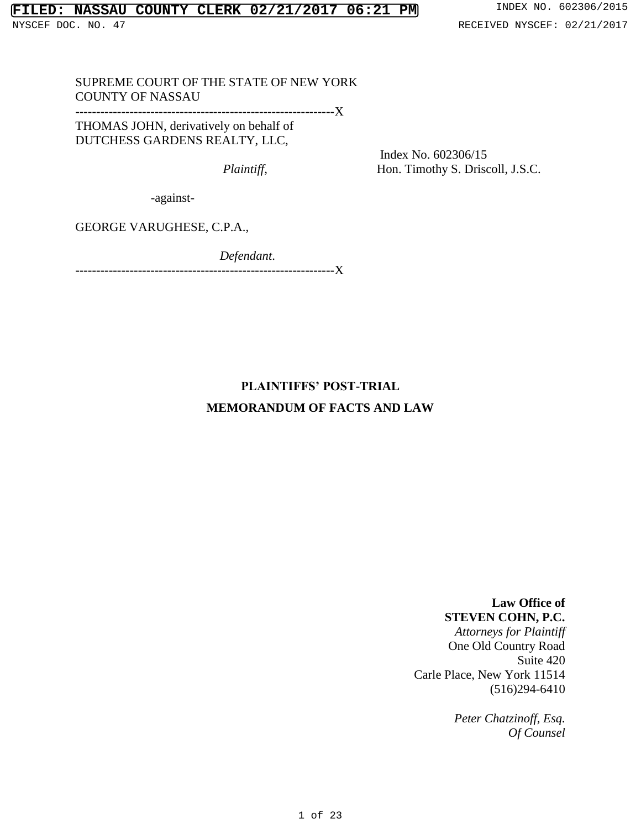SUPREME COURT OF THE STATE OF NEW YORK COUNTY OF NASSAU

**--------------------------------------------------------------**X

THOMAS JOHN, derivatively on behalf of DUTCHESS GARDENS REALTY, LLC,

 Index No. 602306/15 *Plaintiff,* Hon. Timothy S. Driscoll, J.S.C.

-against-

GEORGE VARUGHESE, C.P.A.,

 *Defendant*.

**--------------------------------------------------------------**X

# **PLAINTIFFS' POST-TRIAL**

## **MEMORANDUM OF FACTS AND LAW**

**Law Office of STEVEN COHN, P.C.**

*Attorneys for Plaintiff* One Old Country Road Suite 420 Carle Place, New York 11514 (516)294-6410

> *Peter Chatzinoff, Esq. Of Counsel*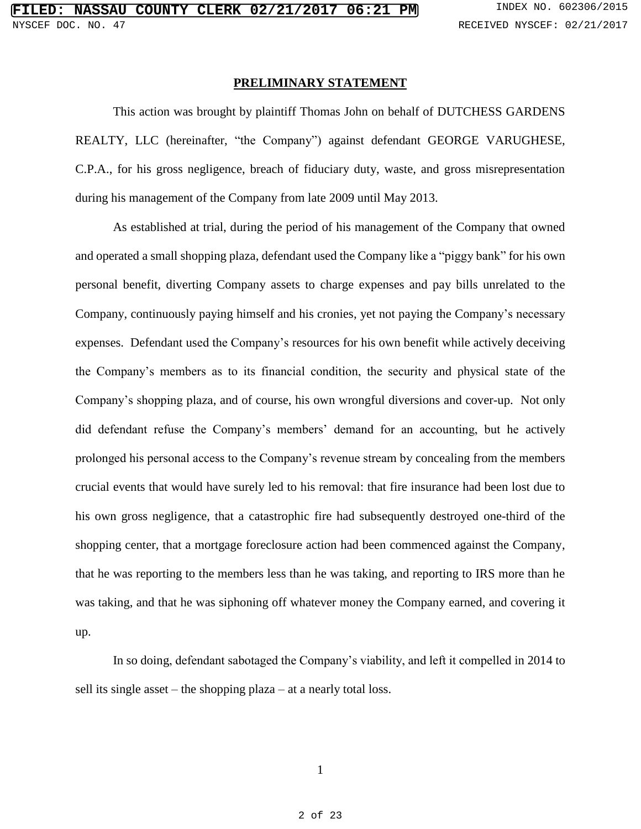#### **PRELIMINARY STATEMENT**

This action was brought by plaintiff Thomas John on behalf of DUTCHESS GARDENS REALTY, LLC (hereinafter, "the Company") against defendant GEORGE VARUGHESE, C.P.A., for his gross negligence, breach of fiduciary duty, waste, and gross misrepresentation during his management of the Company from late 2009 until May 2013.

As established at trial, during the period of his management of the Company that owned and operated a small shopping plaza, defendant used the Company like a "piggy bank" for his own personal benefit, diverting Company assets to charge expenses and pay bills unrelated to the Company, continuously paying himself and his cronies, yet not paying the Company's necessary expenses. Defendant used the Company's resources for his own benefit while actively deceiving the Company's members as to its financial condition, the security and physical state of the Company's shopping plaza, and of course, his own wrongful diversions and cover-up. Not only did defendant refuse the Company's members' demand for an accounting, but he actively prolonged his personal access to the Company's revenue stream by concealing from the members crucial events that would have surely led to his removal: that fire insurance had been lost due to his own gross negligence, that a catastrophic fire had subsequently destroyed one-third of the shopping center, that a mortgage foreclosure action had been commenced against the Company, that he was reporting to the members less than he was taking, and reporting to IRS more than he was taking, and that he was siphoning off whatever money the Company earned, and covering it up.

In so doing, defendant sabotaged the Company's viability, and left it compelled in 2014 to sell its single asset – the shopping plaza – at a nearly total loss.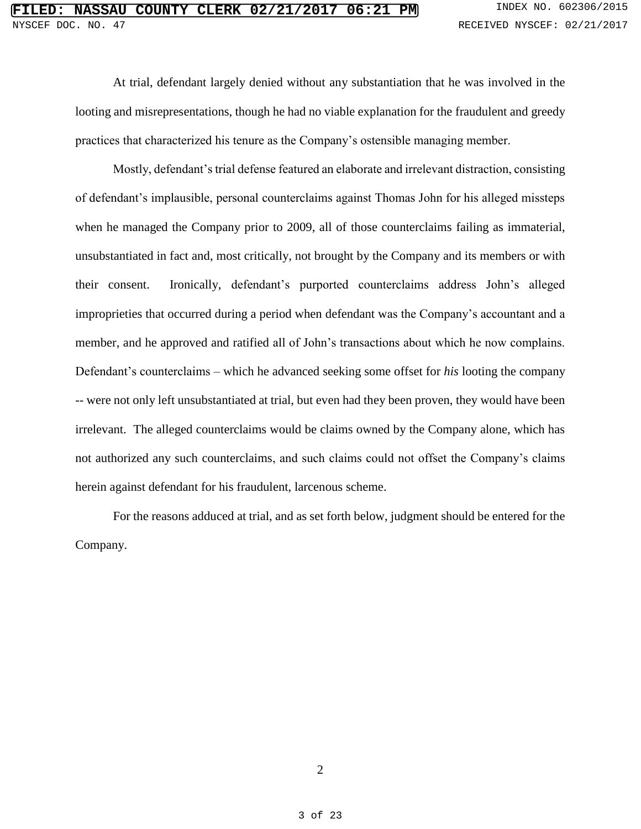At trial, defendant largely denied without any substantiation that he was involved in the looting and misrepresentations, though he had no viable explanation for the fraudulent and greedy practices that characterized his tenure as the Company's ostensible managing member.

Mostly, defendant's trial defense featured an elaborate and irrelevant distraction, consisting of defendant's implausible, personal counterclaims against Thomas John for his alleged missteps when he managed the Company prior to 2009, all of those counterclaims failing as immaterial, unsubstantiated in fact and, most critically, not brought by the Company and its members or with their consent. Ironically, defendant's purported counterclaims address John's alleged improprieties that occurred during a period when defendant was the Company's accountant and a member, and he approved and ratified all of John's transactions about which he now complains. Defendant's counterclaims – which he advanced seeking some offset for *his* looting the company -- were not only left unsubstantiated at trial, but even had they been proven, they would have been irrelevant. The alleged counterclaims would be claims owned by the Company alone, which has not authorized any such counterclaims, and such claims could not offset the Company's claims herein against defendant for his fraudulent, larcenous scheme.

For the reasons adduced at trial, and as set forth below, judgment should be entered for the Company.

2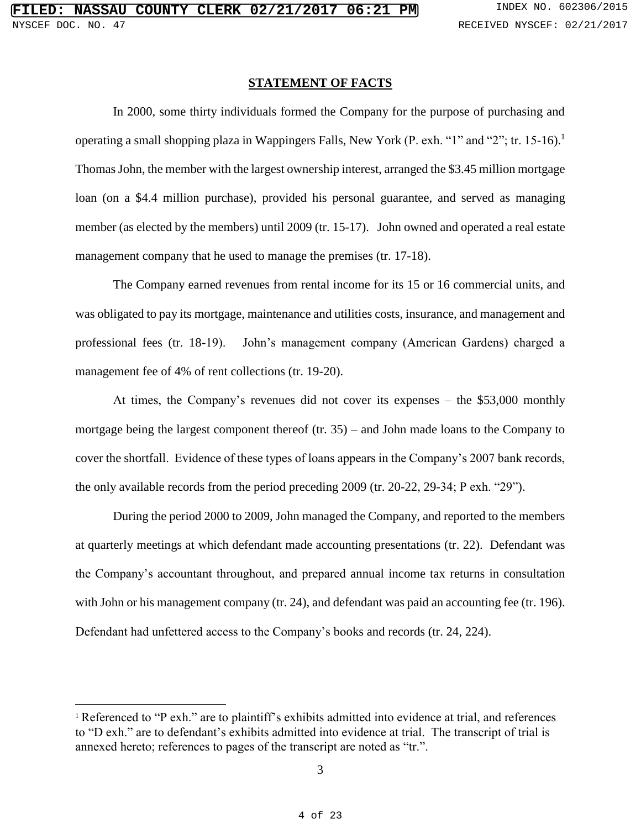## **STATEMENT OF FACTS**

In 2000, some thirty individuals formed the Company for the purpose of purchasing and operating a small shopping plaza in Wappingers Falls, New York (P. exh. "1" and "2"; tr. 15-16).<sup>1</sup> Thomas John, the member with the largest ownership interest, arranged the \$3.45 million mortgage loan (on a \$4.4 million purchase), provided his personal guarantee, and served as managing member (as elected by the members) until 2009 (tr. 15-17). John owned and operated a real estate management company that he used to manage the premises (tr. 17-18).

The Company earned revenues from rental income for its 15 or 16 commercial units, and was obligated to pay its mortgage, maintenance and utilities costs, insurance, and management and professional fees (tr. 18-19). John's management company (American Gardens) charged a management fee of 4% of rent collections (tr. 19-20).

At times, the Company's revenues did not cover its expenses – the \$53,000 monthly mortgage being the largest component thereof (tr. 35) – and John made loans to the Company to cover the shortfall. Evidence of these types of loans appears in the Company's 2007 bank records, the only available records from the period preceding 2009 (tr. 20-22, 29-34; P exh. "29").

During the period 2000 to 2009, John managed the Company, and reported to the members at quarterly meetings at which defendant made accounting presentations (tr. 22). Defendant was the Company's accountant throughout, and prepared annual income tax returns in consultation with John or his management company (tr. 24), and defendant was paid an accounting fee (tr. 196). Defendant had unfettered access to the Company's books and records (tr. 24, 224).

 $\overline{a}$ 

<sup>&</sup>lt;sup>1</sup> Referenced to "P exh." are to plaintiff's exhibits admitted into evidence at trial, and references to "D exh." are to defendant's exhibits admitted into evidence at trial. The transcript of trial is annexed hereto; references to pages of the transcript are noted as "tr.".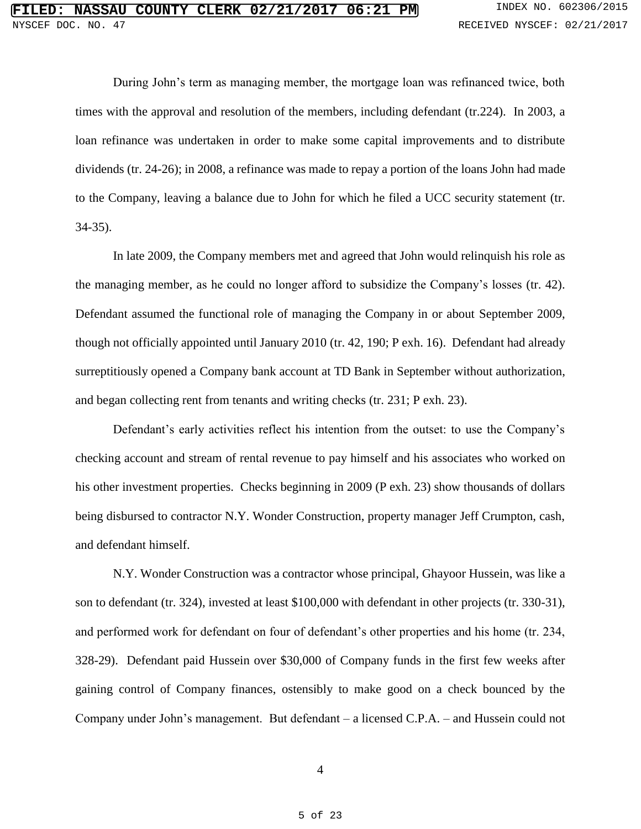During John's term as managing member, the mortgage loan was refinanced twice, both times with the approval and resolution of the members, including defendant (tr.224). In 2003, a loan refinance was undertaken in order to make some capital improvements and to distribute dividends (tr. 24-26); in 2008, a refinance was made to repay a portion of the loans John had made to the Company, leaving a balance due to John for which he filed a UCC security statement (tr. 34-35).

In late 2009, the Company members met and agreed that John would relinquish his role as the managing member, as he could no longer afford to subsidize the Company's losses (tr. 42). Defendant assumed the functional role of managing the Company in or about September 2009, though not officially appointed until January 2010 (tr. 42, 190; P exh. 16). Defendant had already surreptitiously opened a Company bank account at TD Bank in September without authorization, and began collecting rent from tenants and writing checks (tr. 231; P exh. 23).

Defendant's early activities reflect his intention from the outset: to use the Company's checking account and stream of rental revenue to pay himself and his associates who worked on his other investment properties. Checks beginning in 2009 (P exh. 23) show thousands of dollars being disbursed to contractor N.Y. Wonder Construction, property manager Jeff Crumpton, cash, and defendant himself.

N.Y. Wonder Construction was a contractor whose principal, Ghayoor Hussein, was like a son to defendant (tr. 324), invested at least \$100,000 with defendant in other projects (tr. 330-31), and performed work for defendant on four of defendant's other properties and his home (tr. 234, 328-29). Defendant paid Hussein over \$30,000 of Company funds in the first few weeks after gaining control of Company finances, ostensibly to make good on a check bounced by the Company under John's management. But defendant – a licensed C.P.A. – and Hussein could not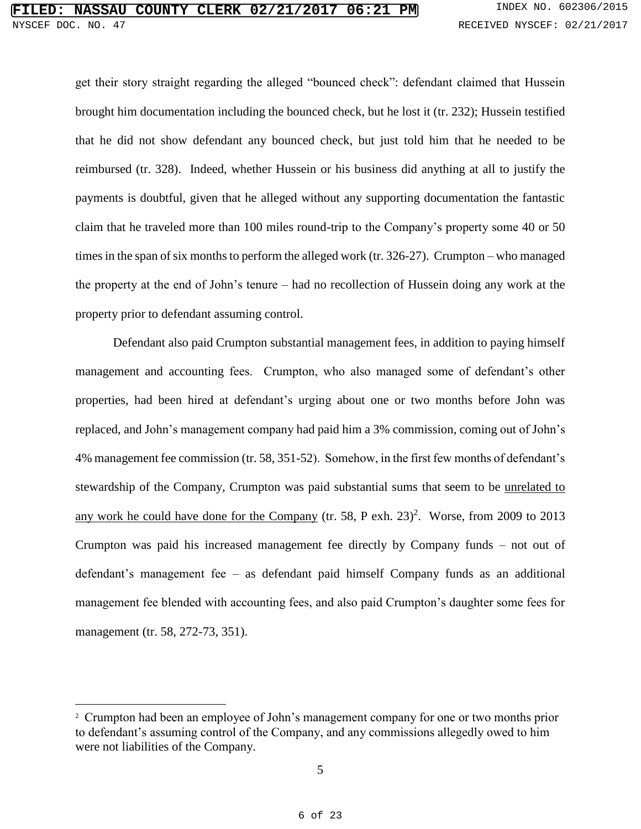get their story straight regarding the alleged "bounced check": defendant claimed that Hussein brought him documentation including the bounced check, but he lost it (tr. 232); Hussein testified that he did not show defendant any bounced check, but just told him that he needed to be reimbursed (tr. 328). Indeed, whether Hussein or his business did anything at all to justify the payments is doubtful, given that he alleged without any supporting documentation the fantastic claim that he traveled more than 100 miles round-trip to the Company's property some 40 or 50 times in the span of six months to perform the alleged work (tr. 326-27). Crumpton – who managed the property at the end of John's tenure – had no recollection of Hussein doing any work at the property prior to defendant assuming control.

Defendant also paid Crumpton substantial management fees, in addition to paying himself management and accounting fees. Crumpton, who also managed some of defendant's other properties, had been hired at defendant's urging about one or two months before John was replaced, and John's management company had paid him a 3% commission, coming out of John's 4% management fee commission (tr. 58, 351-52). Somehow, in the first few months of defendant's stewardship of the Company, Crumpton was paid substantial sums that seem to be unrelated to any work he could have done for the Company (tr. 58, P exh.  $23)^2$ . Worse, from 2009 to 2013 Crumpton was paid his increased management fee directly by Company funds – not out of defendant's management fee – as defendant paid himself Company funds as an additional management fee blended with accounting fees, and also paid Crumpton's daughter some fees for management (tr. 58, 272-73, 351).

 $\overline{a}$ 

<sup>&</sup>lt;sup>2</sup> Crumpton had been an employee of John's management company for one or two months prior to defendant's assuming control of the Company, and any commissions allegedly owed to him were not liabilities of the Company.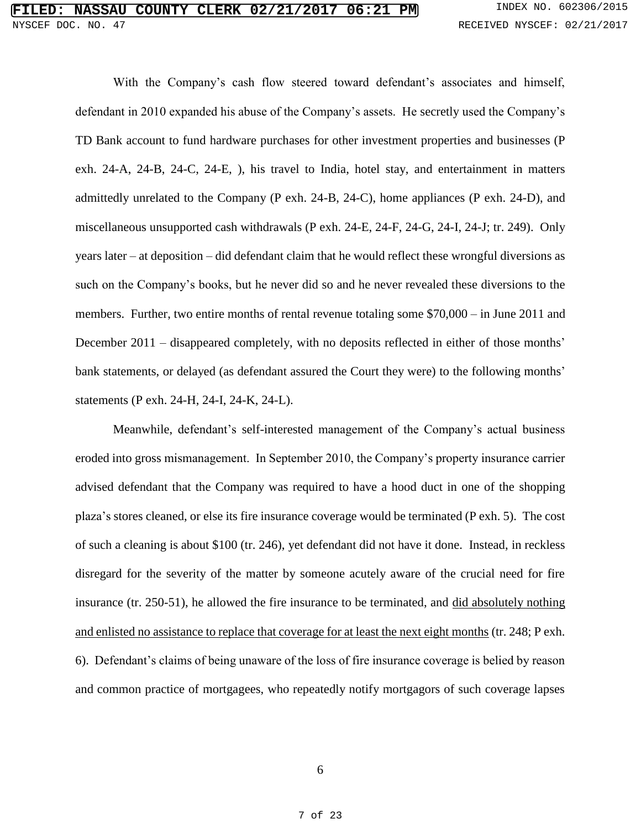With the Company's cash flow steered toward defendant's associates and himself, defendant in 2010 expanded his abuse of the Company's assets. He secretly used the Company's TD Bank account to fund hardware purchases for other investment properties and businesses (P exh. 24-A, 24-B, 24-C, 24-E, ), his travel to India, hotel stay, and entertainment in matters admittedly unrelated to the Company (P exh. 24-B, 24-C), home appliances (P exh. 24-D), and miscellaneous unsupported cash withdrawals (P exh. 24-E, 24-F, 24-G, 24-I, 24-J; tr. 249). Only years later – at deposition – did defendant claim that he would reflect these wrongful diversions as such on the Company's books, but he never did so and he never revealed these diversions to the members. Further, two entire months of rental revenue totaling some \$70,000 – in June 2011 and December 2011 – disappeared completely, with no deposits reflected in either of those months' bank statements, or delayed (as defendant assured the Court they were) to the following months' statements (P exh. 24-H, 24-I, 24-K, 24-L).

Meanwhile, defendant's self-interested management of the Company's actual business eroded into gross mismanagement. In September 2010, the Company's property insurance carrier advised defendant that the Company was required to have a hood duct in one of the shopping plaza's stores cleaned, or else its fire insurance coverage would be terminated (P exh. 5). The cost of such a cleaning is about \$100 (tr. 246), yet defendant did not have it done. Instead, in reckless disregard for the severity of the matter by someone acutely aware of the crucial need for fire insurance (tr. 250-51), he allowed the fire insurance to be terminated, and did absolutely nothing and enlisted no assistance to replace that coverage for at least the next eight months (tr. 248; P exh. 6). Defendant's claims of being unaware of the loss of fire insurance coverage is belied by reason and common practice of mortgagees, who repeatedly notify mortgagors of such coverage lapses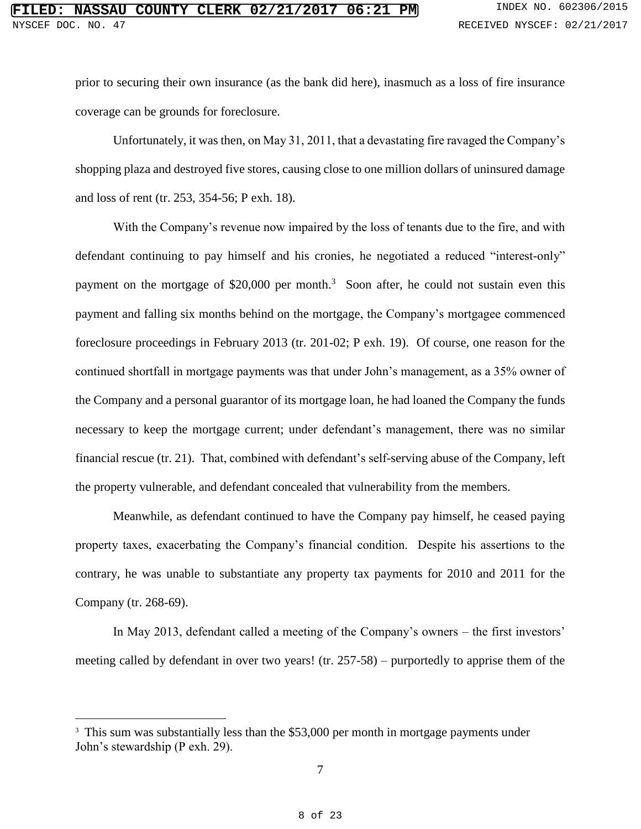prior to securing their own insurance (as the bank did here), inasmuch as a loss of fire insurance coverage can be grounds for foreclosure.

Unfortunately, it was then, on May 31, 2011, that a devastating fire ravaged the Company's shopping plaza and destroyed five stores, causing close to one million dollars of uninsured damage and loss of rent (tr. 253, 354-56; P exh. 18).

With the Company's revenue now impaired by the loss of tenants due to the fire, and with defendant continuing to pay himself and his cronies, he negotiated a reduced "interest-only" payment on the mortgage of \$20,000 per month.<sup>3</sup> Soon after, he could not sustain even this payment and falling six months behind on the mortgage, the Company's mortgagee commenced foreclosure proceedings in February 2013 (tr. 201-02; P exh. 19). Of course, one reason for the continued shortfall in mortgage payments was that under John's management, as a 35% owner of the Company and a personal guarantor of its mortgage loan, he had loaned the Company the funds necessary to keep the mortgage current; under defendant's management, there was no similar financial rescue (tr. 21). That, combined with defendant's self-serving abuse of the Company, left the property vulnerable, and defendant concealed that vulnerability from the members.

Meanwhile, as defendant continued to have the Company pay himself, he ceased paying property taxes, exacerbating the Company's financial condition. Despite his assertions to the contrary, he was unable to substantiate any property tax payments for 2010 and 2011 for the Company (tr. 268-69).

In May 2013, defendant called a meeting of the Company's owners – the first investors' meeting called by defendant in over two years! (tr. 257-58) – purportedly to apprise them of the

 $\overline{a}$ 

<sup>&</sup>lt;sup>3</sup> This sum was substantially less than the \$53,000 per month in mortgage payments under John's stewardship (P exh. 29).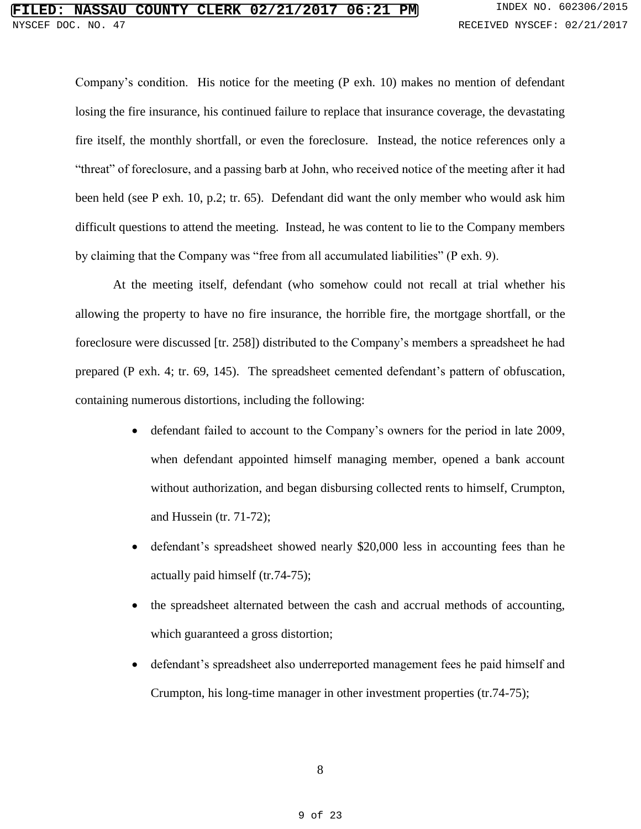Company's condition. His notice for the meeting (P exh. 10) makes no mention of defendant losing the fire insurance, his continued failure to replace that insurance coverage, the devastating fire itself, the monthly shortfall, or even the foreclosure. Instead, the notice references only a "threat" of foreclosure, and a passing barb at John, who received notice of the meeting after it had been held (see P exh. 10, p.2; tr. 65). Defendant did want the only member who would ask him difficult questions to attend the meeting. Instead, he was content to lie to the Company members by claiming that the Company was "free from all accumulated liabilities" (P exh. 9).

At the meeting itself, defendant (who somehow could not recall at trial whether his allowing the property to have no fire insurance, the horrible fire, the mortgage shortfall, or the foreclosure were discussed [tr. 258]) distributed to the Company's members a spreadsheet he had prepared (P exh. 4; tr. 69, 145). The spreadsheet cemented defendant's pattern of obfuscation, containing numerous distortions, including the following:

- defendant failed to account to the Company's owners for the period in late 2009, when defendant appointed himself managing member, opened a bank account without authorization, and began disbursing collected rents to himself, Crumpton, and Hussein (tr. 71-72);
- defendant's spreadsheet showed nearly \$20,000 less in accounting fees than he actually paid himself (tr.74-75);
- the spreadsheet alternated between the cash and accrual methods of accounting, which guaranteed a gross distortion;
- defendant's spreadsheet also underreported management fees he paid himself and Crumpton, his long-time manager in other investment properties (tr.74-75);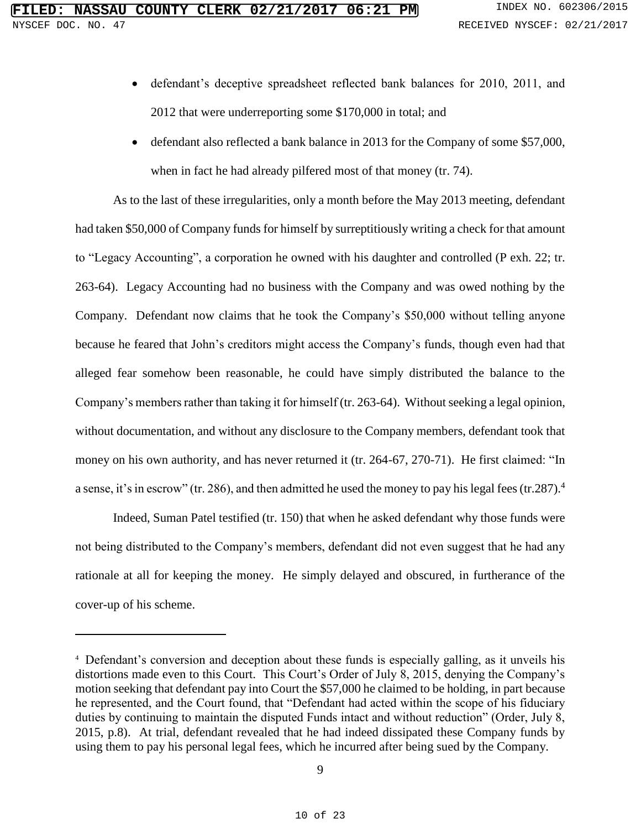- defendant's deceptive spreadsheet reflected bank balances for 2010, 2011, and 2012 that were underreporting some \$170,000 in total; and
- defendant also reflected a bank balance in 2013 for the Company of some \$57,000, when in fact he had already pilfered most of that money (tr. 74).

As to the last of these irregularities, only a month before the May 2013 meeting, defendant had taken \$50,000 of Company funds for himself by surreptitiously writing a check for that amount to "Legacy Accounting", a corporation he owned with his daughter and controlled (P exh. 22; tr. 263-64). Legacy Accounting had no business with the Company and was owed nothing by the Company. Defendant now claims that he took the Company's \$50,000 without telling anyone because he feared that John's creditors might access the Company's funds, though even had that alleged fear somehow been reasonable, he could have simply distributed the balance to the Company's members rather than taking it for himself (tr. 263-64). Without seeking a legal opinion, without documentation, and without any disclosure to the Company members, defendant took that money on his own authority, and has never returned it (tr. 264-67, 270-71). He first claimed: "In a sense, it's in escrow" (tr. 286), and then admitted he used the money to pay his legal fees (tr. 287).<sup>4</sup>

Indeed, Suman Patel testified (tr. 150) that when he asked defendant why those funds were not being distributed to the Company's members, defendant did not even suggest that he had any rationale at all for keeping the money. He simply delayed and obscured, in furtherance of the cover-up of his scheme.

 $\overline{a}$ 

<sup>4</sup> Defendant's conversion and deception about these funds is especially galling, as it unveils his distortions made even to this Court. This Court's Order of July 8, 2015, denying the Company's motion seeking that defendant pay into Court the \$57,000 he claimed to be holding, in part because he represented, and the Court found, that "Defendant had acted within the scope of his fiduciary duties by continuing to maintain the disputed Funds intact and without reduction" (Order, July 8, 2015, p.8). At trial, defendant revealed that he had indeed dissipated these Company funds by using them to pay his personal legal fees, which he incurred after being sued by the Company.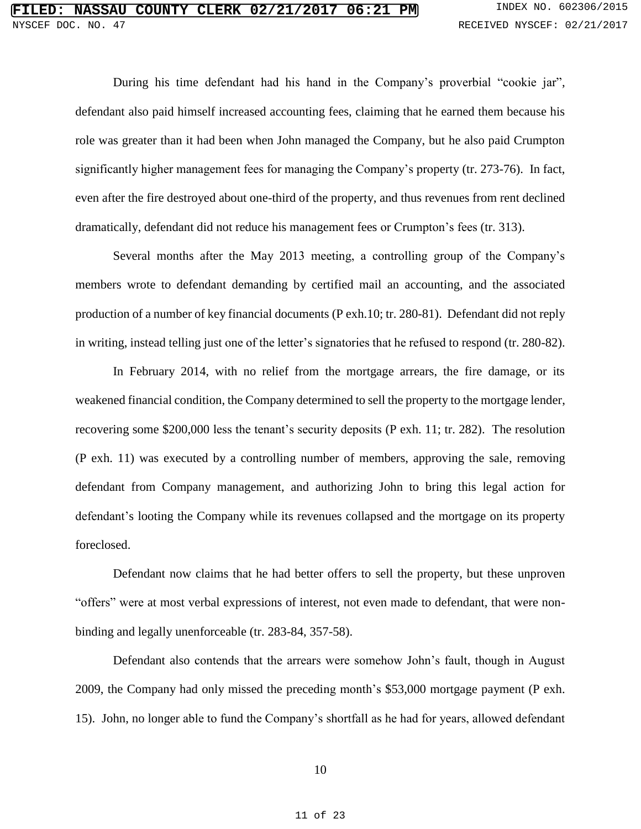During his time defendant had his hand in the Company's proverbial "cookie jar", defendant also paid himself increased accounting fees, claiming that he earned them because his role was greater than it had been when John managed the Company, but he also paid Crumpton significantly higher management fees for managing the Company's property (tr. 273-76). In fact, even after the fire destroyed about one-third of the property, and thus revenues from rent declined dramatically, defendant did not reduce his management fees or Crumpton's fees (tr. 313).

Several months after the May 2013 meeting, a controlling group of the Company's members wrote to defendant demanding by certified mail an accounting, and the associated production of a number of key financial documents (P exh.10; tr. 280-81). Defendant did not reply in writing, instead telling just one of the letter's signatories that he refused to respond (tr. 280-82).

In February 2014, with no relief from the mortgage arrears, the fire damage, or its weakened financial condition, the Company determined to sell the property to the mortgage lender, recovering some \$200,000 less the tenant's security deposits (P exh. 11; tr. 282). The resolution (P exh. 11) was executed by a controlling number of members, approving the sale, removing defendant from Company management, and authorizing John to bring this legal action for defendant's looting the Company while its revenues collapsed and the mortgage on its property foreclosed.

Defendant now claims that he had better offers to sell the property, but these unproven "offers" were at most verbal expressions of interest, not even made to defendant, that were nonbinding and legally unenforceable (tr. 283-84, 357-58).

Defendant also contends that the arrears were somehow John's fault, though in August 2009, the Company had only missed the preceding month's \$53,000 mortgage payment (P exh. 15). John, no longer able to fund the Company's shortfall as he had for years, allowed defendant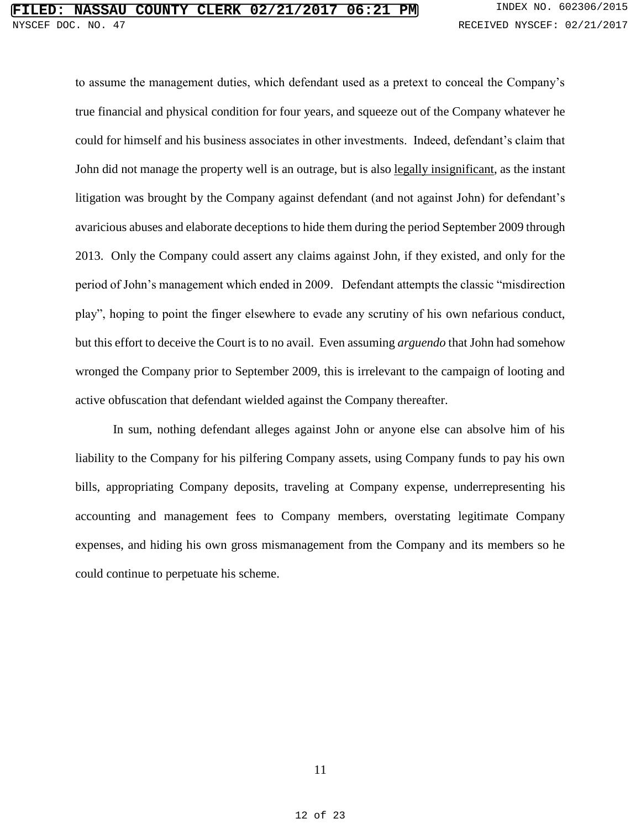to assume the management duties, which defendant used as a pretext to conceal the Company's true financial and physical condition for four years, and squeeze out of the Company whatever he could for himself and his business associates in other investments. Indeed, defendant's claim that John did not manage the property well is an outrage, but is also legally insignificant, as the instant litigation was brought by the Company against defendant (and not against John) for defendant's avaricious abuses and elaborate deceptions to hide them during the period September 2009 through 2013. Only the Company could assert any claims against John, if they existed, and only for the period of John's management which ended in 2009. Defendant attempts the classic "misdirection play", hoping to point the finger elsewhere to evade any scrutiny of his own nefarious conduct, but this effort to deceive the Court is to no avail. Even assuming *arguendo* that John had somehow wronged the Company prior to September 2009, this is irrelevant to the campaign of looting and active obfuscation that defendant wielded against the Company thereafter.

In sum, nothing defendant alleges against John or anyone else can absolve him of his liability to the Company for his pilfering Company assets, using Company funds to pay his own bills, appropriating Company deposits, traveling at Company expense, underrepresenting his accounting and management fees to Company members, overstating legitimate Company expenses, and hiding his own gross mismanagement from the Company and its members so he could continue to perpetuate his scheme.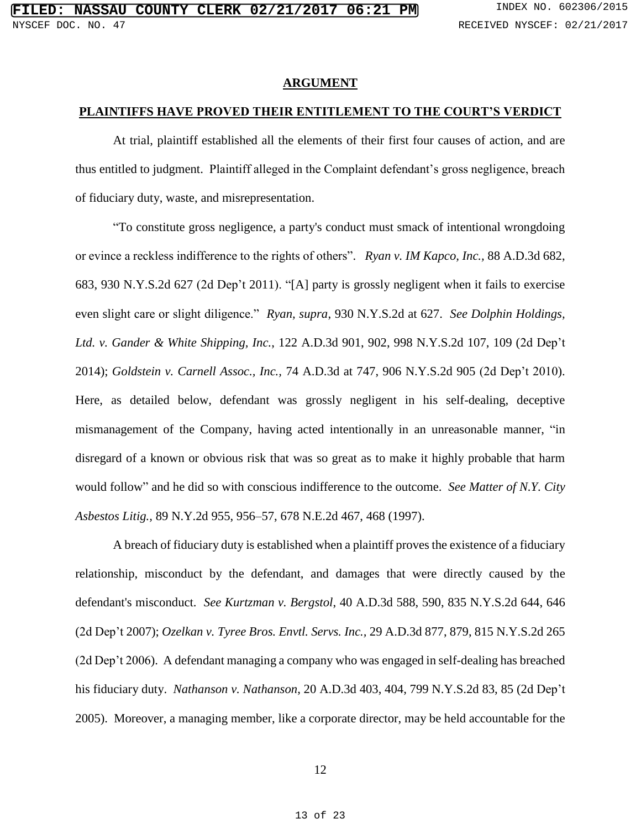#### **ARGUMENT**

### **PLAINTIFFS HAVE PROVED THEIR ENTITLEMENT TO THE COURT'S VERDICT**

At trial, plaintiff established all the elements of their first four causes of action, and are thus entitled to judgment. Plaintiff alleged in the Complaint defendant's gross negligence, breach of fiduciary duty, waste, and misrepresentation.

"To constitute gross negligence, a party's conduct must smack of intentional wrongdoing or evince a reckless indifference to the rights of others". *Ryan v. IM Kapco, Inc.,* 88 A.D.3d 682, 683, 930 N.Y.S.2d 627 (2d Dep't 2011). "[A] party is grossly negligent when it fails to exercise even slight care or slight diligence." *Ryan, supra*, 930 N.Y.S.2d at 627. *See Dolphin Holdings, Ltd. v. Gander & White Shipping, Inc.*, 122 A.D.3d 901, 902, 998 N.Y.S.2d 107, 109 (2d Dep't 2014); *Goldstein v. Carnell Assoc., Inc.,* 74 A.D.3d at 747, 906 N.Y.S.2d 905 (2d Dep't 2010). Here, as detailed below, defendant was grossly negligent in his self-dealing, deceptive mismanagement of the Company, having acted intentionally in an unreasonable manner, "in disregard of a known or obvious risk that was so great as to make it highly probable that harm would follow" and he did so with conscious indifference to the outcome. *See Matter of N.Y. City Asbestos Litig.,* 89 N.Y.2d 955, 956–57, 678 N.E.2d 467, 468 (1997).

A breach of fiduciary duty is established when a plaintiff proves the existence of a fiduciary relationship, misconduct by the defendant, and damages that were directly caused by the defendant's misconduct. *See Kurtzman v. Bergstol*, 40 A.D.3d 588, 590, 835 N.Y.S.2d 644, 646 (2d Dep't 2007); *Ozelkan v. Tyree Bros. Envtl. Servs. Inc.,* 29 A.D.3d 877, 879, 815 N.Y.S.2d 265 (2d Dep't 2006). A defendant managing a company who was engaged in self-dealing has breached his fiduciary duty. *Nathanson v. Nathanson*, 20 A.D.3d 403, 404, 799 N.Y.S.2d 83, 85 (2d Dep't 2005). Moreover, a managing member, like a corporate director, may be held accountable for the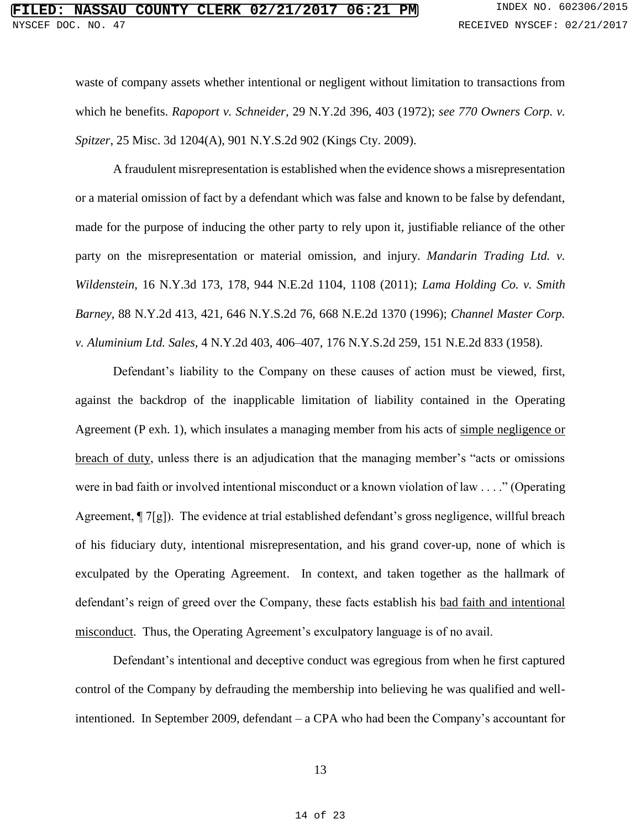waste of company assets whether intentional or negligent without limitation to transactions from which he benefits. *Rapoport v. Schneider,* 29 N.Y.2d 396, 403 (1972); *see 770 Owners Corp. v. Spitzer*, 25 Misc. 3d 1204(A), 901 N.Y.S.2d 902 (Kings Cty. 2009).

A fraudulent misrepresentation is established when the evidence shows a misrepresentation or a material omission of fact by a defendant which was false and known to be false by defendant, made for the purpose of inducing the other party to rely upon it, justifiable reliance of the other party on the misrepresentation or material omission, and injury. *Mandarin Trading Ltd. v. Wildenstein*, 16 N.Y.3d 173, 178, 944 N.E.2d 1104, 1108 (2011); *Lama Holding Co. v. Smith Barney,* 88 N.Y.2d 413, 421, 646 N.Y.S.2d 76, 668 N.E.2d 1370 (1996); *Channel Master Corp. v. Aluminium Ltd. Sales,* 4 N.Y.2d 403, 406–407, 176 N.Y.S.2d 259, 151 N.E.2d 833 (1958).

Defendant's liability to the Company on these causes of action must be viewed, first, against the backdrop of the inapplicable limitation of liability contained in the Operating Agreement (P exh. 1), which insulates a managing member from his acts of simple negligence or breach of duty, unless there is an adjudication that the managing member's "acts or omissions were in bad faith or involved intentional misconduct or a known violation of law . . . ." (Operating Agreement, ¶ 7[g]). The evidence at trial established defendant's gross negligence, willful breach of his fiduciary duty, intentional misrepresentation, and his grand cover-up, none of which is exculpated by the Operating Agreement. In context, and taken together as the hallmark of defendant's reign of greed over the Company, these facts establish his bad faith and intentional misconduct. Thus, the Operating Agreement's exculpatory language is of no avail.

Defendant's intentional and deceptive conduct was egregious from when he first captured control of the Company by defrauding the membership into believing he was qualified and wellintentioned. In September 2009, defendant – a CPA who had been the Company's accountant for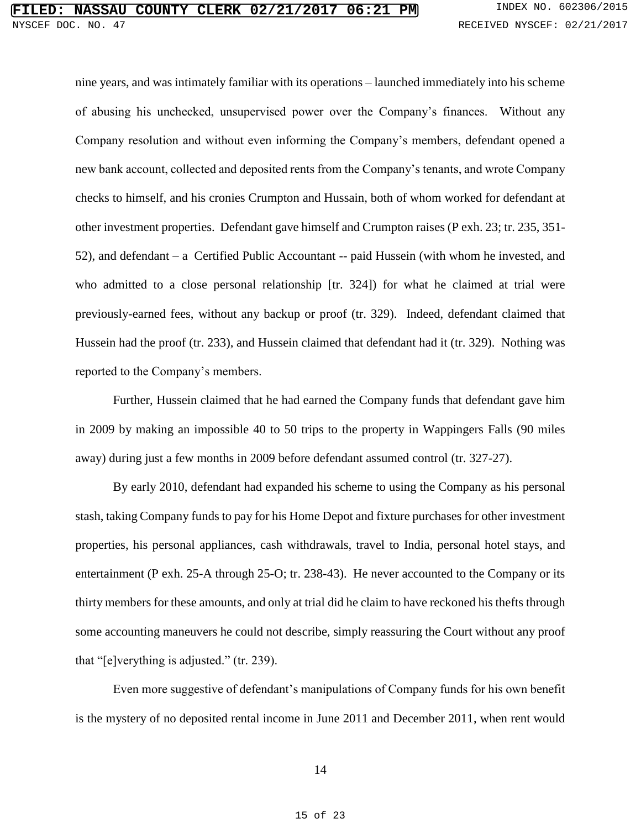nine years, and was intimately familiar with its operations – launched immediately into his scheme of abusing his unchecked, unsupervised power over the Company's finances. Without any Company resolution and without even informing the Company's members, defendant opened a new bank account, collected and deposited rents from the Company's tenants, and wrote Company checks to himself, and his cronies Crumpton and Hussain, both of whom worked for defendant at other investment properties. Defendant gave himself and Crumpton raises (P exh. 23; tr. 235, 351- 52), and defendant – a Certified Public Accountant -- paid Hussein (with whom he invested, and who admitted to a close personal relationship [tr. 324]) for what he claimed at trial were previously-earned fees, without any backup or proof (tr. 329). Indeed, defendant claimed that Hussein had the proof (tr. 233), and Hussein claimed that defendant had it (tr. 329). Nothing was reported to the Company's members.

Further, Hussein claimed that he had earned the Company funds that defendant gave him in 2009 by making an impossible 40 to 50 trips to the property in Wappingers Falls (90 miles away) during just a few months in 2009 before defendant assumed control (tr. 327-27).

By early 2010, defendant had expanded his scheme to using the Company as his personal stash, taking Company funds to pay for his Home Depot and fixture purchases for other investment properties, his personal appliances, cash withdrawals, travel to India, personal hotel stays, and entertainment (P exh. 25-A through 25-O; tr. 238-43). He never accounted to the Company or its thirty members for these amounts, and only at trial did he claim to have reckoned his thefts through some accounting maneuvers he could not describe, simply reassuring the Court without any proof that "[e]verything is adjusted." (tr. 239).

Even more suggestive of defendant's manipulations of Company funds for his own benefit is the mystery of no deposited rental income in June 2011 and December 2011, when rent would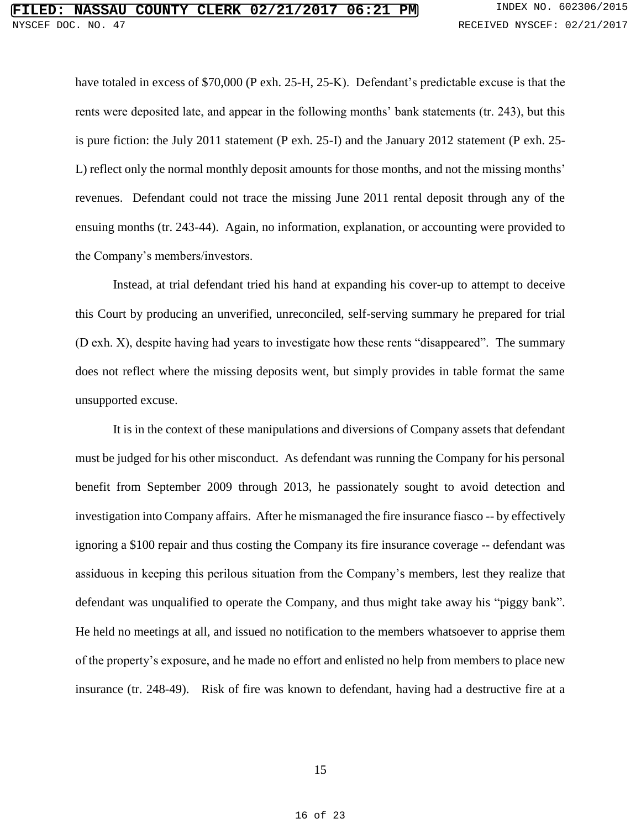have totaled in excess of \$70,000 (P exh. 25-H, 25-K). Defendant's predictable excuse is that the rents were deposited late, and appear in the following months' bank statements (tr. 243), but this is pure fiction: the July 2011 statement (P exh. 25-I) and the January 2012 statement (P exh. 25- L) reflect only the normal monthly deposit amounts for those months, and not the missing months' revenues. Defendant could not trace the missing June 2011 rental deposit through any of the ensuing months (tr. 243-44). Again, no information, explanation, or accounting were provided to the Company's members/investors.

Instead, at trial defendant tried his hand at expanding his cover-up to attempt to deceive this Court by producing an unverified, unreconciled, self-serving summary he prepared for trial (D exh. X), despite having had years to investigate how these rents "disappeared". The summary does not reflect where the missing deposits went, but simply provides in table format the same unsupported excuse.

It is in the context of these manipulations and diversions of Company assets that defendant must be judged for his other misconduct. As defendant was running the Company for his personal benefit from September 2009 through 2013, he passionately sought to avoid detection and investigation into Company affairs. After he mismanaged the fire insurance fiasco -- by effectively ignoring a \$100 repair and thus costing the Company its fire insurance coverage -- defendant was assiduous in keeping this perilous situation from the Company's members, lest they realize that defendant was unqualified to operate the Company, and thus might take away his "piggy bank". He held no meetings at all, and issued no notification to the members whatsoever to apprise them of the property's exposure, and he made no effort and enlisted no help from members to place new insurance (tr. 248-49). Risk of fire was known to defendant, having had a destructive fire at a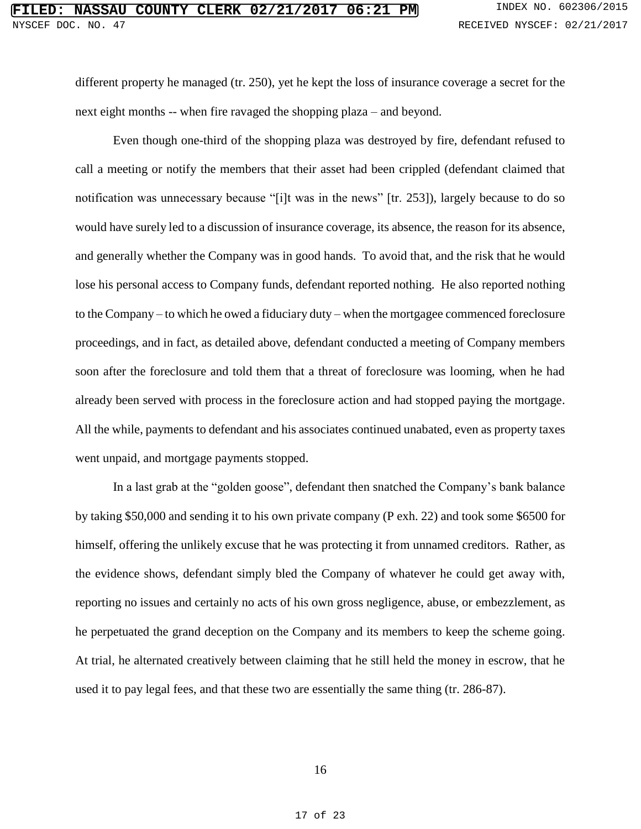different property he managed (tr. 250), yet he kept the loss of insurance coverage a secret for the next eight months -- when fire ravaged the shopping plaza – and beyond.

Even though one-third of the shopping plaza was destroyed by fire, defendant refused to call a meeting or notify the members that their asset had been crippled (defendant claimed that notification was unnecessary because "[i]t was in the news" [tr. 253]), largely because to do so would have surely led to a discussion of insurance coverage, its absence, the reason for its absence, and generally whether the Company was in good hands. To avoid that, and the risk that he would lose his personal access to Company funds, defendant reported nothing. He also reported nothing to the Company – to which he owed a fiduciary duty – when the mortgagee commenced foreclosure proceedings, and in fact, as detailed above, defendant conducted a meeting of Company members soon after the foreclosure and told them that a threat of foreclosure was looming, when he had already been served with process in the foreclosure action and had stopped paying the mortgage. All the while, payments to defendant and his associates continued unabated, even as property taxes went unpaid, and mortgage payments stopped.

In a last grab at the "golden goose", defendant then snatched the Company's bank balance by taking \$50,000 and sending it to his own private company (P exh. 22) and took some \$6500 for himself, offering the unlikely excuse that he was protecting it from unnamed creditors. Rather, as the evidence shows, defendant simply bled the Company of whatever he could get away with, reporting no issues and certainly no acts of his own gross negligence, abuse, or embezzlement, as he perpetuated the grand deception on the Company and its members to keep the scheme going. At trial, he alternated creatively between claiming that he still held the money in escrow, that he used it to pay legal fees, and that these two are essentially the same thing (tr. 286-87).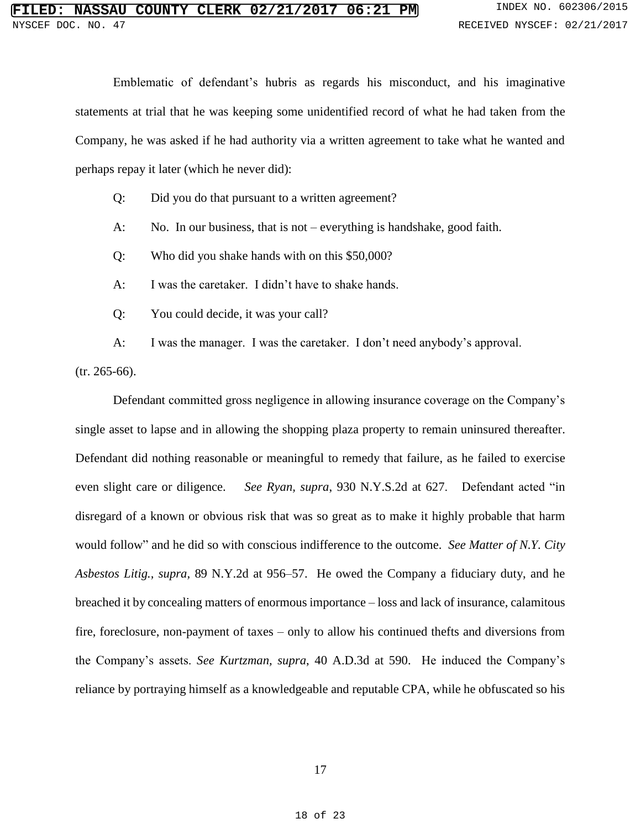Emblematic of defendant's hubris as regards his misconduct, and his imaginative statements at trial that he was keeping some unidentified record of what he had taken from the Company, he was asked if he had authority via a written agreement to take what he wanted and perhaps repay it later (which he never did):

Q: Did you do that pursuant to a written agreement?

A: No. In our business, that is not – everything is handshake, good faith.

Q: Who did you shake hands with on this \$50,000?

A: I was the caretaker. I didn't have to shake hands.

Q: You could decide, it was your call?

A: I was the manager. I was the caretaker. I don't need anybody's approval.

(tr. 265-66).

Defendant committed gross negligence in allowing insurance coverage on the Company's single asset to lapse and in allowing the shopping plaza property to remain uninsured thereafter. Defendant did nothing reasonable or meaningful to remedy that failure, as he failed to exercise even slight care or diligence. *See Ryan, supra*, 930 N.Y.S.2d at 627. Defendant acted "in disregard of a known or obvious risk that was so great as to make it highly probable that harm would follow" and he did so with conscious indifference to the outcome. *See Matter of N.Y. City Asbestos Litig., supra,* 89 N.Y.2d at 956–57. He owed the Company a fiduciary duty, and he breached it by concealing matters of enormous importance – loss and lack of insurance, calamitous fire, foreclosure, non-payment of taxes – only to allow his continued thefts and diversions from the Company's assets. *See Kurtzman, supra*, 40 A.D.3d at 590. He induced the Company's reliance by portraying himself as a knowledgeable and reputable CPA, while he obfuscated so his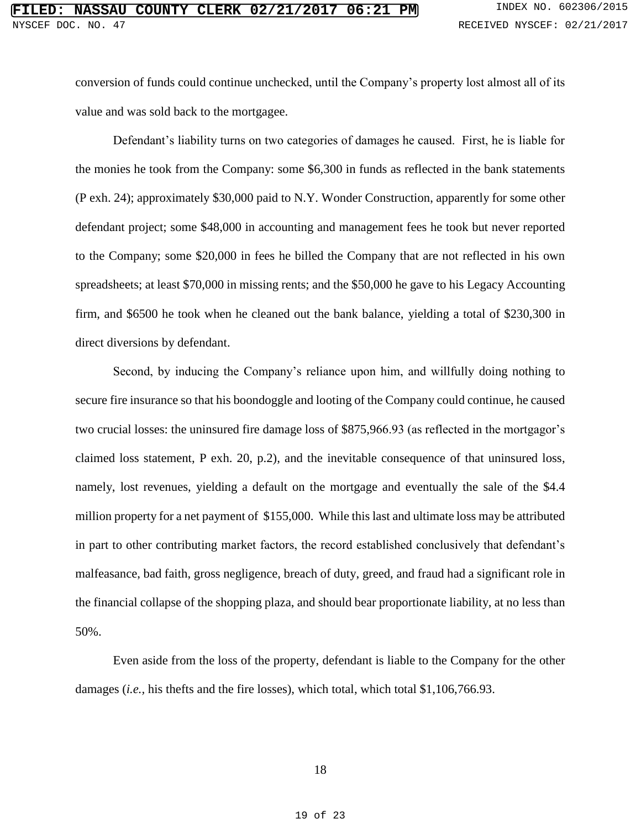conversion of funds could continue unchecked, until the Company's property lost almost all of its value and was sold back to the mortgagee.

Defendant's liability turns on two categories of damages he caused. First, he is liable for the monies he took from the Company: some \$6,300 in funds as reflected in the bank statements (P exh. 24); approximately \$30,000 paid to N.Y. Wonder Construction, apparently for some other defendant project; some \$48,000 in accounting and management fees he took but never reported to the Company; some \$20,000 in fees he billed the Company that are not reflected in his own spreadsheets; at least \$70,000 in missing rents; and the \$50,000 he gave to his Legacy Accounting firm, and \$6500 he took when he cleaned out the bank balance, yielding a total of \$230,300 in direct diversions by defendant.

Second, by inducing the Company's reliance upon him, and willfully doing nothing to secure fire insurance so that his boondoggle and looting of the Company could continue, he caused two crucial losses: the uninsured fire damage loss of \$875,966.93 (as reflected in the mortgagor's claimed loss statement, P exh. 20, p.2), and the inevitable consequence of that uninsured loss, namely, lost revenues, yielding a default on the mortgage and eventually the sale of the \$4.4 million property for a net payment of \$155,000. While this last and ultimate loss may be attributed in part to other contributing market factors, the record established conclusively that defendant's malfeasance, bad faith, gross negligence, breach of duty, greed, and fraud had a significant role in the financial collapse of the shopping plaza, and should bear proportionate liability, at no less than 50%.

Even aside from the loss of the property, defendant is liable to the Company for the other damages (*i.e.,* his thefts and the fire losses), which total, which total \$1,106,766.93.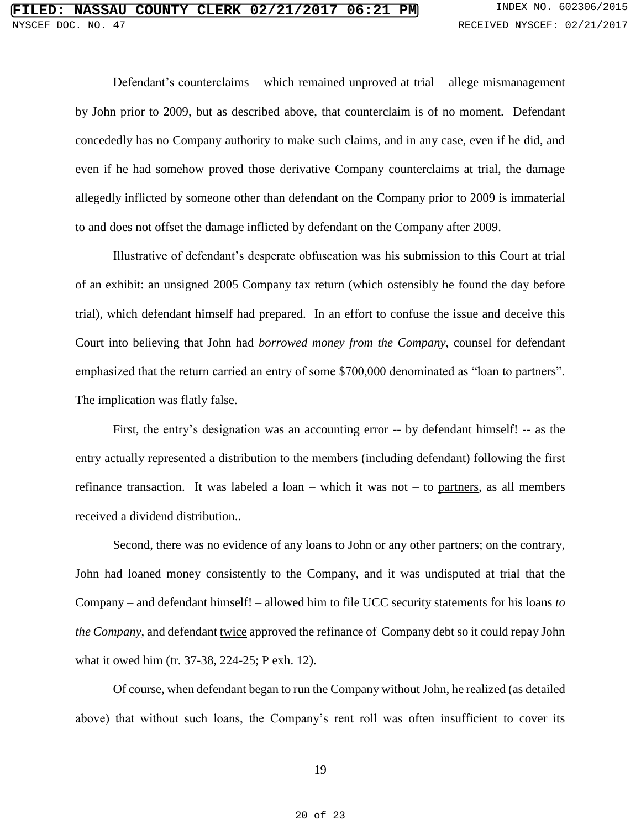Defendant's counterclaims – which remained unproved at trial – allege mismanagement by John prior to 2009, but as described above, that counterclaim is of no moment. Defendant concededly has no Company authority to make such claims, and in any case, even if he did, and even if he had somehow proved those derivative Company counterclaims at trial, the damage allegedly inflicted by someone other than defendant on the Company prior to 2009 is immaterial to and does not offset the damage inflicted by defendant on the Company after 2009.

Illustrative of defendant's desperate obfuscation was his submission to this Court at trial of an exhibit: an unsigned 2005 Company tax return (which ostensibly he found the day before trial), which defendant himself had prepared. In an effort to confuse the issue and deceive this Court into believing that John had *borrowed money from the Company*, counsel for defendant emphasized that the return carried an entry of some \$700,000 denominated as "loan to partners". The implication was flatly false.

First, the entry's designation was an accounting error -- by defendant himself! -- as the entry actually represented a distribution to the members (including defendant) following the first refinance transaction. It was labeled a loan – which it was not – to partners, as all members received a dividend distribution..

Second, there was no evidence of any loans to John or any other partners; on the contrary, John had loaned money consistently to the Company, and it was undisputed at trial that the Company – and defendant himself! – allowed him to file UCC security statements for his loans *to the Company*, and defendant twice approved the refinance of Company debt so it could repay John what it owed him (tr. 37-38, 224-25; P exh. 12).

Of course, when defendant began to run the Company without John, he realized (as detailed above) that without such loans, the Company's rent roll was often insufficient to cover its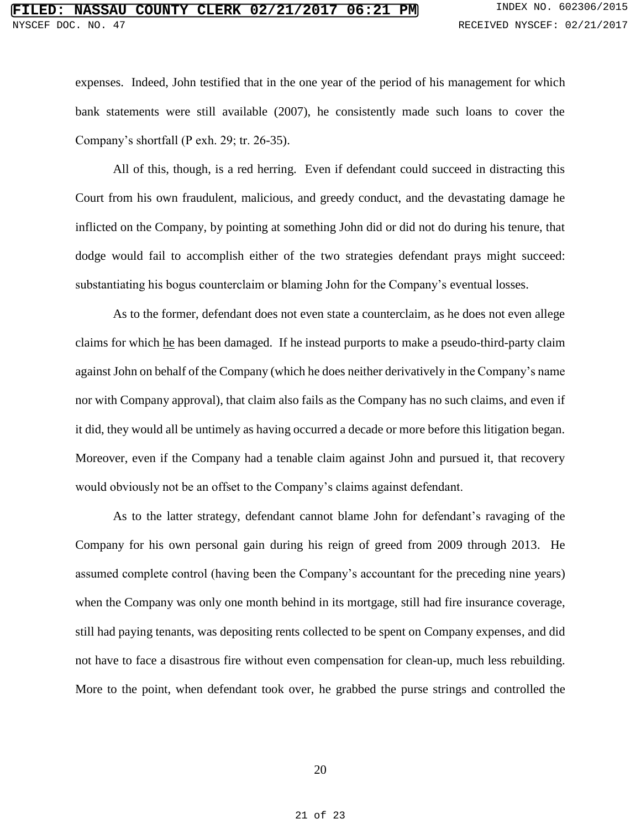expenses. Indeed, John testified that in the one year of the period of his management for which bank statements were still available (2007), he consistently made such loans to cover the Company's shortfall (P exh. 29; tr. 26-35).

All of this, though, is a red herring. Even if defendant could succeed in distracting this Court from his own fraudulent, malicious, and greedy conduct, and the devastating damage he inflicted on the Company, by pointing at something John did or did not do during his tenure, that dodge would fail to accomplish either of the two strategies defendant prays might succeed: substantiating his bogus counterclaim or blaming John for the Company's eventual losses.

As to the former, defendant does not even state a counterclaim, as he does not even allege claims for which he has been damaged. If he instead purports to make a pseudo-third-party claim against John on behalf of the Company (which he does neither derivatively in the Company's name nor with Company approval), that claim also fails as the Company has no such claims, and even if it did, they would all be untimely as having occurred a decade or more before this litigation began. Moreover, even if the Company had a tenable claim against John and pursued it, that recovery would obviously not be an offset to the Company's claims against defendant.

As to the latter strategy, defendant cannot blame John for defendant's ravaging of the Company for his own personal gain during his reign of greed from 2009 through 2013. He assumed complete control (having been the Company's accountant for the preceding nine years) when the Company was only one month behind in its mortgage, still had fire insurance coverage, still had paying tenants, was depositing rents collected to be spent on Company expenses, and did not have to face a disastrous fire without even compensation for clean-up, much less rebuilding. More to the point, when defendant took over, he grabbed the purse strings and controlled the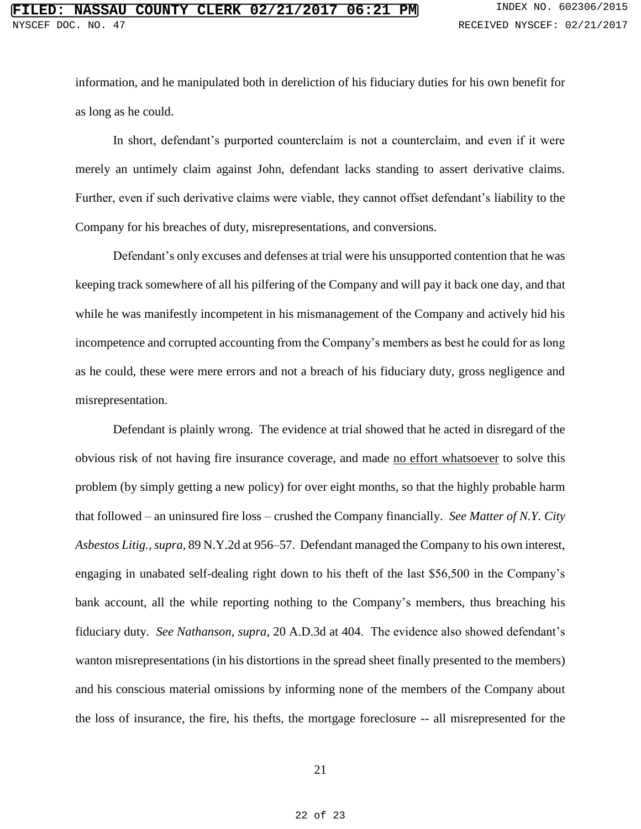information, and he manipulated both in dereliction of his fiduciary duties for his own benefit for as long as he could.

In short, defendant's purported counterclaim is not a counterclaim, and even if it were merely an untimely claim against John, defendant lacks standing to assert derivative claims. Further, even if such derivative claims were viable, they cannot offset defendant's liability to the Company for his breaches of duty, misrepresentations, and conversions.

Defendant's only excuses and defenses at trial were his unsupported contention that he was keeping track somewhere of all his pilfering of the Company and will pay it back one day, and that while he was manifestly incompetent in his mismanagement of the Company and actively hid his incompetence and corrupted accounting from the Company's members as best he could for as long as he could, these were mere errors and not a breach of his fiduciary duty, gross negligence and misrepresentation.

Defendant is plainly wrong. The evidence at trial showed that he acted in disregard of the obvious risk of not having fire insurance coverage, and made no effort whatsoever to solve this problem (by simply getting a new policy) for over eight months, so that the highly probable harm that followed – an uninsured fire loss – crushed the Company financially. *See Matter of N.Y. City Asbestos Litig., supra,* 89 N.Y.2d at 956–57. Defendant managed the Company to his own interest, engaging in unabated self-dealing right down to his theft of the last \$56,500 in the Company's bank account, all the while reporting nothing to the Company's members, thus breaching his fiduciary duty. *See Nathanson, supra*, 20 A.D.3d at 404. The evidence also showed defendant's wanton misrepresentations (in his distortions in the spread sheet finally presented to the members) and his conscious material omissions by informing none of the members of the Company about the loss of insurance, the fire, his thefts, the mortgage foreclosure -- all misrepresented for the